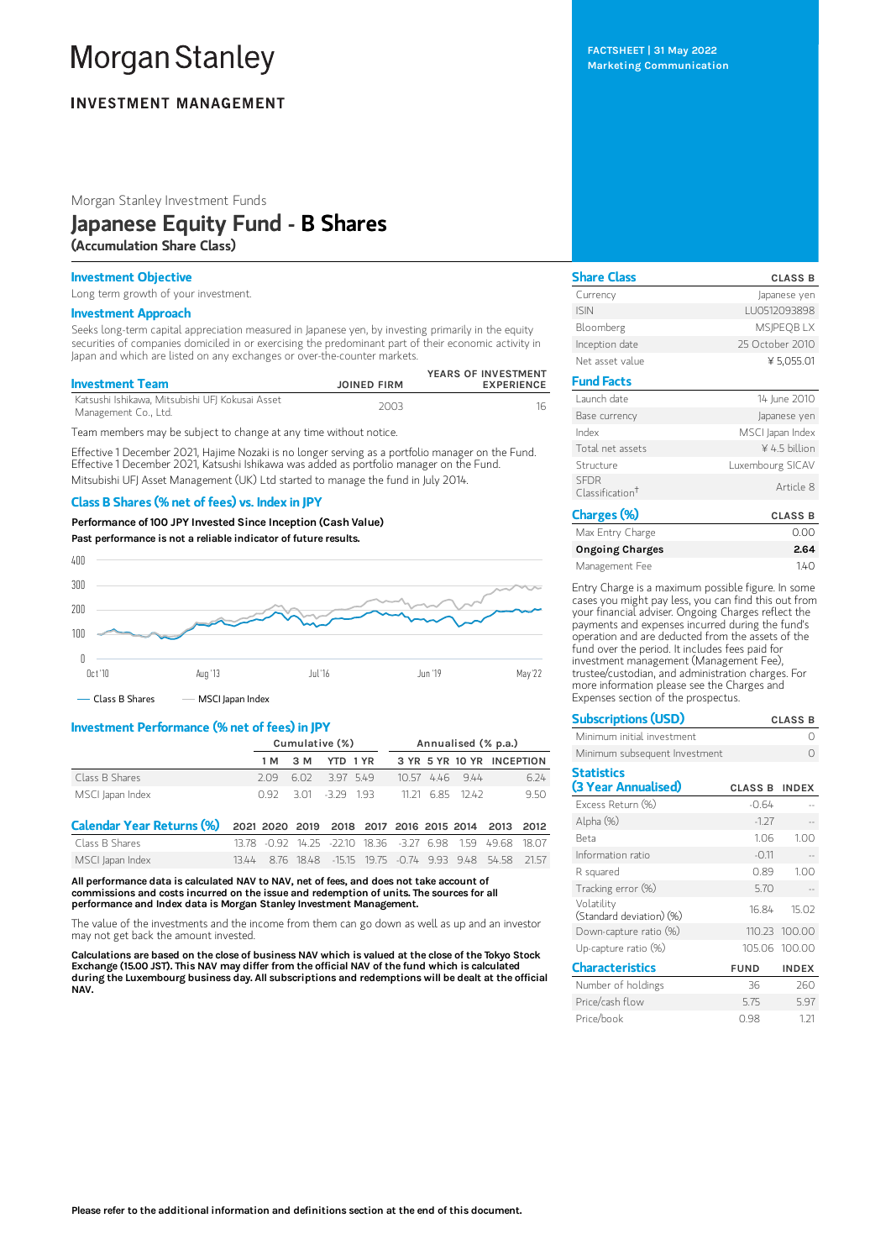# **Morgan Stanley**

## **INVESTMENT MANAGEMENT**

Morgan Stanley Investment Funds

## Japanese Equity Fund - B Shares

(Accumulation Share Class)

## Investment Objective

Long term growth of your investment.

#### Investment Approach

Seeks long-term capital appreciation measured in Japanese yen, by investing primarily in the equity securities of companies domiciled in or exercising the predominant part of their economic activity in Japan and which are listed on any exchanges or over-the-counter markets.

| <b>Investment Team</b>                                                  | <b>JOINED FIRM</b> | YEARS OF INVESTMENT<br><b>EXPERIENCE</b> |
|-------------------------------------------------------------------------|--------------------|------------------------------------------|
| Katsushi Ishikawa, Mitsubishi UFJ Kokusai Asset<br>Management Co., Ltd. | 2003               |                                          |

Team members may be subject to change at any time without notice.

Effective 1 December 2021, Hajime Nozaki is no longer serving as a portfolio manager on the Fund. Effective 1 December 2021, Katsushi Ishikawa was added as portfolio manager on the Fund. Mitsubishi UFJ Asset Management (UK) Ltd started to manage the fund in July 2014.

### Class B Shares (% net of fees) vs. Index in JPY

Performance of100 JPY Invested Since Inception (Cash Value)





## Investment Performance (% net of fees) in JPY

|                  | Cumulative (%) |  |                     |  | Annualised (% p.a.)       |  |  |  |
|------------------|----------------|--|---------------------|--|---------------------------|--|--|--|
|                  |                |  | 1 M 3 M YTD 1 YR    |  | 3 YR 5 YR 10 YR INCEPTION |  |  |  |
| Class B Shares   |                |  | 209 602 397 549     |  | 6.24<br>$10.57$ 4.46 9.44 |  |  |  |
| MSCI Japan Index |                |  | 0.92 3.01 3.29 1.93 |  | 11 21 685 1242<br>950     |  |  |  |

| Calendar Year Returns (%) 2021 2020 2019 2018 2017 2016 2015 2014 2013 2012 |  |  |  |  |                                                             |  |
|-----------------------------------------------------------------------------|--|--|--|--|-------------------------------------------------------------|--|
| Class B Shares                                                              |  |  |  |  | 13.78 -0.92 14.25 -22.10 18.36 -3.27 6.98 1.59 49.68 18.07  |  |
| MSCI Japan Index                                                            |  |  |  |  | 13.44 8.76 18.48 - 15.15 19.75 - 0.74 9.93 9.48 54.58 21.57 |  |

All performance data is calculated NAV to NAV, net of fees, and does not take account of commissions and costs incurred on the issue and redemption of units. The sources for all performance and Index data is Morgan Stanley Investment Management.

The value of the investments and the income from them can go down as well as up and an investor may not get back the amount invested.

Calculations are based on the close of business NAV which is valued at the close of the Tokyo Stock Exchange (15.00 JST). This NAV may differ from the official NAV of the fund which is calculated during the Luxembourg business day. All subscriptions and redemptions will be dealt at the official NAV.

FACTSHEET | 31 May 2022 Marketing Communication

Share Class CLASS B Currency **Currency Japanese yen** ISIN LU0512093898 Bloomberg MSJPEQB LX Inception date 25 October 2010 Net asset value  $45,055.01$ Fund Facts Launch date 14 June 2010 Base currency and a settlement of the lapanese yen Index MSCI Japan Index Total net assets **ACC EXECUTE:**  $\frac{4}{5}$  billion Structure Luxembourg SICAV SFDR Classification †Article 8 Charges (%) CLASS B<br>May Entry Charge Company CLASS B Max Entry Charge 0.00

| iviax Entry Charge     | UUU  |
|------------------------|------|
| <b>Ongoing Charges</b> | 2.64 |
| Management Fee         | 140  |

Entry Charge is a maximum possible figure. In some cases you might pay less, you can find this out from your financial adviser. Ongoing Charges reflect the payments and expenses incurred during the fund's operation and are deducted from the assets of the fund over the period. It includes fees paid for investment management (Management Fee), trustee/custodian, and administration charges. For more information please see the Charges and Expenses section of the prospectus.

| <b>Subscriptions (USD)</b>             | <b>CLASS B</b> |               |  |  |
|----------------------------------------|----------------|---------------|--|--|
| Minimum initial investment             |                | Ω             |  |  |
| Minimum subsequent Investment          |                |               |  |  |
| <b>Statistics</b>                      |                |               |  |  |
| (3 Year Annualised)                    | <b>CLASS B</b> | <b>INDEX</b>  |  |  |
| Excess Return (%)                      | $-0.64$        |               |  |  |
| Alpha (%)                              | $-1.27$        |               |  |  |
| Reta                                   | 1.06           | 1.00          |  |  |
| Information ratio                      | $-0.11$        |               |  |  |
| R squared                              | 0.89           | 1.00          |  |  |
| Tracking error (%)                     | 5.70           |               |  |  |
| Volatility<br>(Standard deviation) (%) | 16.84          | 15.02         |  |  |
| Down-capture ratio (%)                 | 110.23         | 100.00        |  |  |
| Up-capture ratio (%)                   |                | 105.06 100.00 |  |  |
| <b>Characteristics</b>                 | <b>FUND</b>    | <b>INDEX</b>  |  |  |
| Number of holdings                     | 36             | 260           |  |  |
| Price/cash flow                        | 5.75           | 5.97          |  |  |
| Price/book                             | 0.98           | 1.21          |  |  |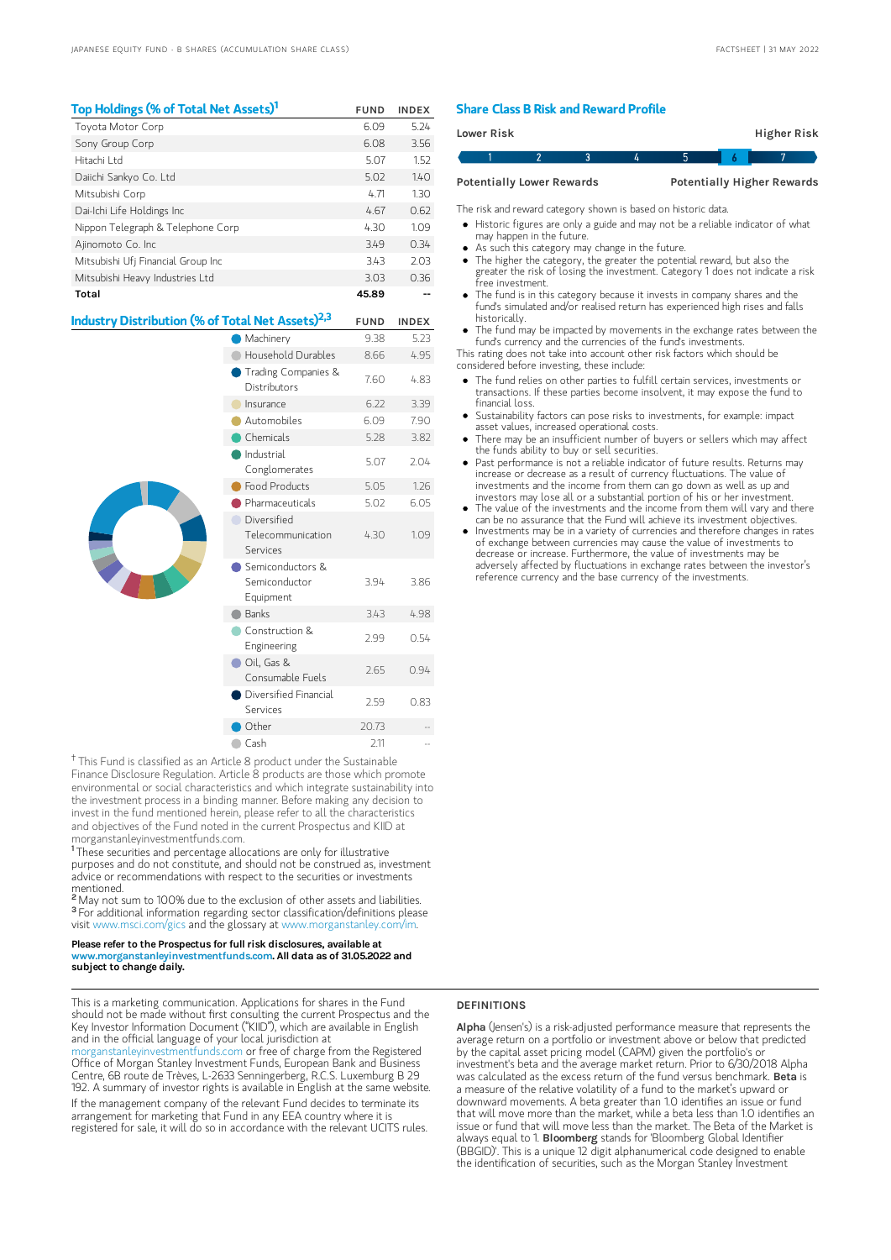| Top Holdings (% of Total Net Assets) <sup>1</sup>            |                                     | <b>FUND</b> | <b>INDEX</b> |
|--------------------------------------------------------------|-------------------------------------|-------------|--------------|
| Toyota Motor Corp                                            |                                     | 6.09        | 5.24         |
| Sony Group Corp                                              |                                     | 6.08        | 3.56         |
| Hitachi I td                                                 |                                     | 5.07        | 1.52         |
| Daiichi Sankyo Co. Ltd                                       |                                     | 5.02        | 140          |
| Mitsubishi Corp                                              |                                     | 4.71        | 1.30         |
| Dai-Ichi Life Holdings Inc                                   |                                     | 4.67        | 0.62         |
| Nippon Telegraph & Telephone Corp                            |                                     | 4.30        | 1.09         |
| Ajinomoto Co. Inc                                            |                                     | 3.49        | 0.34         |
| Mitsubishi Ufj Financial Group Inc                           |                                     | 3.43        | 2.03         |
| Mitsubishi Heavy Industries Ltd                              |                                     | 3.03        | 0.36         |
| Total                                                        |                                     | 45.89       |              |
|                                                              |                                     |             |              |
|                                                              |                                     |             |              |
| Industry Distribution (% of Total Net Assets) <sup>2,3</sup> |                                     | <b>FUND</b> | <b>INDEX</b> |
|                                                              | Machinery                           | 9.38        | 5.23         |
|                                                              | Household Durables                  | 8.66        | 4.95         |
|                                                              | Trading Companies &<br>Distributors | 7.60        | 4.83         |
|                                                              | Insurance                           | 6.22        | 3.39         |
|                                                              | Automobiles                         | 6.09        | 7.90         |
|                                                              | <b>Chemicals</b>                    | 5.28        | 3.82         |
|                                                              | Industrial<br>Conglomerates         | 5.07        | 2.04         |
|                                                              | Food Products                       | 5.05        | 1.26         |
|                                                              | Pharmaceuticals                     | 5.02        | 6.05         |

| <b>Chemicals</b>                               | 5.28  | 3.82 |
|------------------------------------------------|-------|------|
| Industrial<br>Conglomerates                    | 5.07  | 2.04 |
| <b>Food Products</b>                           | 5.05  | 1.26 |
| Pharmaceuticals                                | 5.02  | 6.05 |
| Diversified<br>Telecommunication<br>Services   | 4.30  | 1.09 |
| Semiconductors &<br>Semiconductor<br>Equipment | 3.94  | 3.86 |
| <b>Banks</b>                                   | 3.43  | 4.98 |
| Construction &<br>Engineering                  | 2.99  | 0.54 |
| Oil, Gas &<br>Consumable Fuels                 | 2.65  | 0.94 |
| Diversified Financial<br>Services              | 2.59  | 0.83 |
| Other                                          | 20.73 |      |
| Cash                                           | 2.11  |      |

<sup>†</sup> This Fund is classified as an Article 8 product under the Sustainable Finance Disclosure Regulation. Article 8 products are those which promote environmental or social characteristics and which integrate sustainability into the investment process in a binding manner. Before making any decision to invest in the fund mentioned herein, please refer to all the characteristics and objectives of the Fund noted in the current Prospectus and KIID at morganstanleyinvestmentfunds.com.

<sup>1</sup>These securities and percentage allocations are only for illustrative purposes and do not constitute, and should not be construed as, investment advice or recommendations with respect to the securities or investments mentioned.

<sup>2</sup> May not sum to 100% due to the exclusion of other assets and liabilities. <sup>3</sup> For additional information regarding sector classification/definitions please visit www.msci.com/gics and the glossary at www.morganstanley.com/im.

#### Please refer to the Prospectus for full risk disclosures, available at www.morganstanleyinvestmentfunds.com. All data as of 31.05.2022 and subject to change daily.

This is a marketing communication. Applications for shares in the Fund should not be made without first consulting the current Prospectus and the Key Investor Information Document ("KIID"), which are available in English and in the official language of your local jurisdiction at

[morganstanleyinvestmentfunds.com](https://www.morganstanley.com/im/msinvf/index.html) or free of charge from the Registered Office of Morgan Stanley Investment Funds, European Bank and Business Centre, 6B route de Trèves, L-2633 Senningerberg, R.C.S. Luxemburg B 29 192. A summary of investor rights is available in English at the same website. If the management company of the relevant Fund decides to terminate its arrangement for marketing that Fund in any EEA country where it is registered for sale, it will do so in accordance with the relevant UCITS rules.

### Share Class B Risk and Reward Profile

| <b>Lower Risk</b>                |  |  |  |                                   | Higher Risk |  |  |
|----------------------------------|--|--|--|-----------------------------------|-------------|--|--|
|                                  |  |  |  |                                   |             |  |  |
| <b>Potentially Lower Rewards</b> |  |  |  | <b>Potentially Higher Rewards</b> |             |  |  |

The risk and reward category shown is based on historic data.

Historic figures are only a guide and may not be a reliable indicator of what

- may happen in the future.
- As such this category may change in the future.
- The higher the category, the greater the potential reward, but also the greater the risk of losing the investment. Category 1 does not indicate a risk free investment.
- The fund is in this category because it invests in company shares and the fund's simulated and/or realised return has experienced high rises and falls historically.
- The fund may be impacted by movements in the exchange rates between the fund's currency and the currencies of the fund's investments.

This rating does not take into account other risk factors which should be considered before investing, these include:

- The fund relies on other parties to fulfill certain services, investments or transactions. If these parties become insolvent, it may expose the fund to financial loss.
- Sustainability factors can pose risks to investments, for example: impact asset values, increased operational costs.
- There may be an insufficient number of buyers or sellers which may affect the funds ability to buy or sell securities.
- Past performance is not a reliable indicator of future results. Returns may increase or decrease as a result of currency fluctuations. The value of investments and the income from them can go down as well as up and
- investors may lose all or a substantial portion of his or her investment. The value of the investments and the income from them will vary and there can be no assurance that the Fund will achieve its investment objectives.
- Investments may be in a variety of currencies and therefore changes in rates of exchange between currencies may cause the value of investments to decrease or increase. Furthermore, the value of investments may be adversely affected by fluctuations in exchange rates between the investor's reference currency and the base currency of the investments.

## DEFINITIONS

Alpha (Jensen's) is a risk-adjusted performance measure that represents the average return on a portfolio or investment above or below that predicted by the capital asset pricing model (CAPM) given the portfolio's or investment's beta and the average market return. Prior to 6/30/2018 Alpha was calculated as the excess return of the fund versus benchmark. **Beta** is a measure of the relative volatility of a fund to the market's upward or downward movements. A beta greater than 1.0 identifies an issue or fund that will move more than the market, while a beta less than 1.0 identifies an issue or fund that will move less than the market. The Beta of the Market is always equal to 1. Bloomberg stands for 'Bloomberg Global Identifier (BBGID)'. This is a unique 12 digit alphanumerical code designed to enable the identification of securities, such as the Morgan Stanley Investment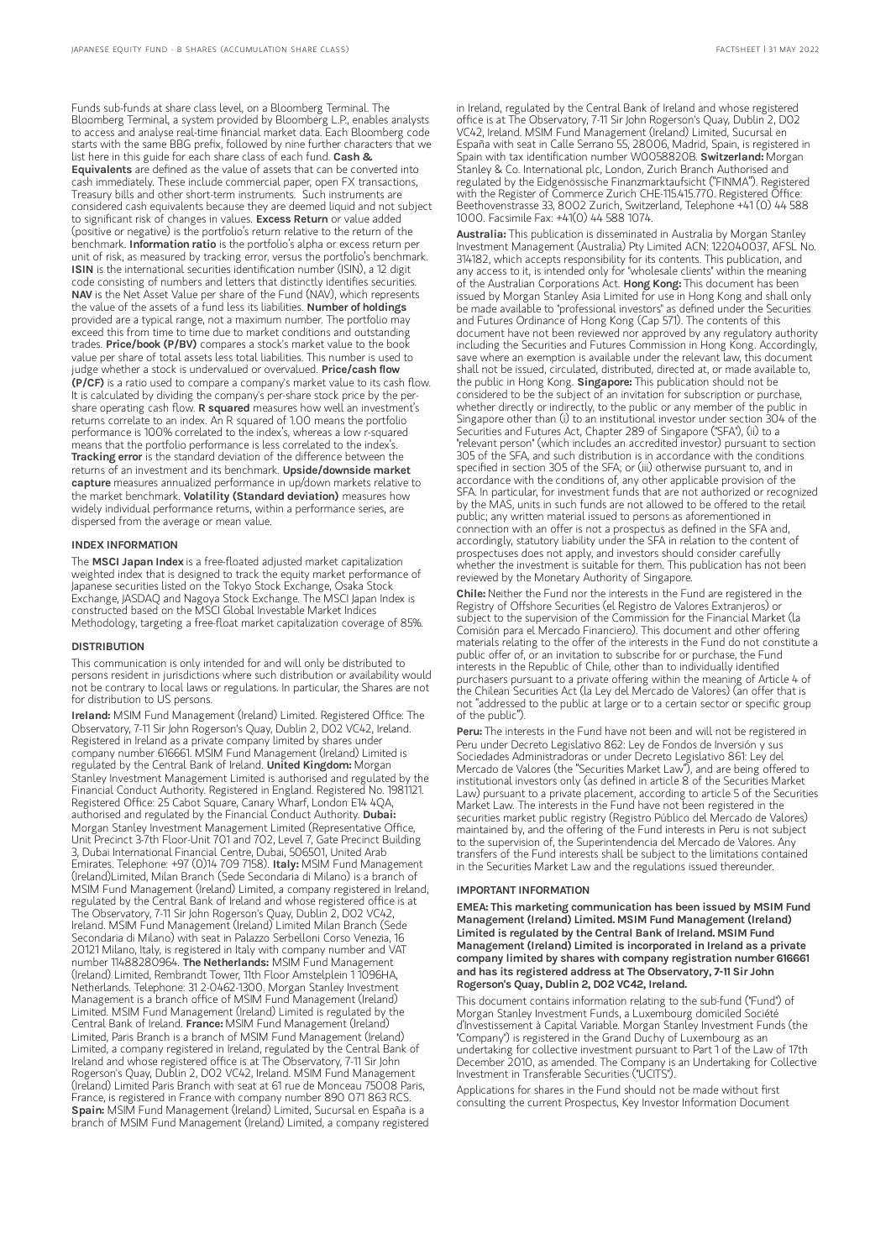Funds sub-funds at share class level, on a Bloomberg Terminal. The Bloomberg Terminal, a system provided by Bloomberg L.P., enables analysts to access and analyse real-time financial market data. Each Bloomberg code starts with the same BBG prefix, followed by nine further characters that we list here in this guide for each share class of each fund. Cash & Equivalents are defined as the value of assets that can be converted into cash immediately. These include commercial paper, open FX transactions, Treasury bills and other short-term instruments. Such instruments are considered cash equivalents because they are deemed liquid and not subject to significant risk of changes in values. Excess Return or value added (positive or negative) is the portfolio's return relative to the return of the benchmark. Information ratio is the portfolio's alpha or excess return per unit of risk, as measured by tracking error, versus the portfolio's benchmark.<br>**ISIN** is the international securities identification number (ISIN), a 12 digit code consisting of numbers and letters that distinctly identifies securities. NAV is the Net Asset Value per share of the Fund (NAV), which represents the value of the assets of a fund less its liabilities. **Number of holdings** provided are a typical range, not a maximum number. The portfolio may exceed this from time to time due to market conditions and outstanding trades. Price/book (P/BV) compares a stock's market value to the book value per share of total assets less total liabilities. This number is used to judge whether a stock is undervalued or overvalued. Price/cash flow (P/CF) is a ratio used to compare a company's market value to its cash flow. It is calculated by dividing the company's per-share stock price by the pershare operating cash flow. **R squared** measures how well an investment's returns correlate to an index. An R squared of 1.00 means the portfolio performance is 100% correlated to the index's, whereas a low r-squared means that the portfolio performance is less correlated to the index's. Tracking error is the standard deviation of the difference between the returns of an investment and its benchmark. Upside/downside market capture measures annualized performance in up/down markets relative to the market benchmark. Volatility (Standard deviation) measures how widely individual performance returns, within a performance series, are dispersed from the average or mean value.

#### INDEX INFORMATION

The MSCI Japan Index is a free-floated adjusted market capitalization weighted index that is designed to track the equity market performance of Japanese securities listed on the Tokyo Stock Exchange, Osaka Stock Exchange, JASDAQ and Nagoya Stock Exchange. The MSCI Japan Index is constructed based on the MSCI Global Investable Market Indices Methodology, targeting a free-float market capitalization coverage of 85%.

#### **DISTRIBUTION**

This communication is only intended for and will only be distributed to persons resident in jurisdictions where such distribution or availability would not be contrary to local laws or regulations. In particular, the Shares are not for distribution to US persons.

Ireland: MSIM Fund Management (Ireland) Limited. Registered Office: The Observatory, 7-11 Sir John Rogerson's Quay, Dublin 2, D02 VC42, Ireland. Registered in Ireland as a private company limited by shares under company number 616661. MSIM Fund Management (Ireland) Limited is regulated by the Central Bank of Ireland. United Kingdom: Morgan Stanley Investment Management Limited is authorised and regulated by the Financial Conduct Authority. Registered in England. Registered No. 1981121. Registered Office: 25 Cabot Square, Canary Wharf, London E14 4QA, authorised and regulated by the Financial Conduct Authority. Dubai: Morgan Stanley Investment Management Limited (Representative Office, Unit Precinct 3-7th Floor-Unit 701 and 702, Level 7, Gate Precinct Building 3, Dubai International Financial Centre, Dubai, 506501, United Arab Emirates. Telephone: +97 (0)14 709 7158). Italy: MSIM Fund Management (Ireland)Limited, Milan Branch (Sede Secondaria di Milano) is a branch of MSIM Fund Management (Ireland) Limited, a company registered in Ireland, regulated by the Central Bank of Ireland and whose registered office is at The Observatory, 7-11 Sir John Rogerson's Quay, Dublin 2, D02 VC42, Ireland. MSIM Fund Management (Ireland) Limited Milan Branch (Sede Secondaria di Milano) with seat in Palazzo Serbelloni Corso Venezia, 16 20121 Milano, Italy, is registered in Italy with company number and VAT number 11488280964. The Netherlands: MSIM Fund Management (Ireland) Limited, Rembrandt Tower, 11th Floor Amstelplein 1 1096HA, Netherlands. Telephone: 31 2-0462-1300. Morgan Stanley Investment Management is a branch office of MSIM Fund Management (Ireland) Limited. MSIM Fund Management (Ireland) Limited is regulated by the Central Bank of Ireland. France: MSIM Fund Management (Ireland) Limited, Paris Branch is a branch of MSIM Fund Management (Ireland) Limited, a company registered in Ireland, regulated by the Central Bank of Ireland and whose registered office is at The Observatory, 7-11 Sir John Rogerson's Quay, Dublin 2, D02 VC42, Ireland. MSIM Fund Management (Ireland) Limited Paris Branch with seat at 61 rue de Monceau 75008 Paris, France, is registered in France with company number 890 071 863 RCS. Spain: MSIM Fund Management (Ireland) Limited, Sucursal en España is a branch of MSIM Fund Management (Ireland) Limited, a company registered in Ireland, regulated by the Central Bank of Ireland and whose registered office is at The Observatory, 7-11 Sir John Rogerson's Quay, Dublin 2, D02 VC42, Ireland. MSIM Fund Management (Ireland) Limited, Sucursal en España with seat in Calle Serrano 55, 28006, Madrid, Spain, is registered in Spain with tax identification number W0058820B. Switzerland: Morgan Stanley & Co. International plc, London, Zurich Branch Authorised and regulated by the Eidgenössische Finanzmarktaufsicht ("FINMA"). Registered with the Register of Commerce Zurich CHE-115.415.770. Registered Office: Beethovenstrasse 33, 8002 Zurich, Switzerland, Telephone +41 (0) 44 588 1000. Facsimile Fax: +41(0) 44 588 1074.

Australia: This publication is disseminated in Australia by Morgan Stanley Investment Management (Australia) Pty Limited ACN: 122040037, AFSL No. 314182, which accepts responsibility for its contents. This publication, and any access to it, is intended only for "wholesale clients" within the meaning of the Australian Corporations Act. Hong Kong: This document has been issued by Morgan Stanley Asia Limited for use in Hong Kong and shall only be made available to "professional investors" as defined under the Securities and Futures Ordinance of Hong Kong (Cap 571). The contents of this document have not been reviewed nor approved by any regulatory authority including the Securities and Futures Commission in Hong Kong. Accordingly, save where an exemption is available under the relevant law, this document shall not be issued, circulated, distributed, directed at, or made available to, the public in Hong Kong. Singapore: This publication should not be considered to be the subject of an invitation for subscription or purchase, whether directly or indirectly, to the public or any member of the public in Singapore other than (i) to an institutional investor under section 304 of the Securities and Futures Act, Chapter 289 of Singapore ("SFA"), (ii) to a "relevant person" (which includes an accredited investor) pursuant to section 305 of the SFA, and such distribution is in accordance with the conditions specified in section 305 of the SFA; or (iii) otherwise pursuant to, and in accordance with the conditions of, any other applicable provision of the SFA. In particular, for investment funds that are not authorized or recognized by the MAS, units in such funds are not allowed to be offered to the retail public; any written material issued to persons as aforementioned in connection with an offer is not a prospectus as defined in the SFA and, accordingly, statutory liability under the SFA in relation to the content of prospectuses does not apply, and investors should consider carefully whether the investment is suitable for them. This publication has not been reviewed by the Monetary Authority of Singapore.

Chile: Neither the Fund nor the interests in the Fund are registered in the Registry of Offshore Securities (el Registro de Valores Extranjeros) or subject to the supervision of the Commission for the Financial Market (la Comisión para el Mercado Financiero). This document and other offering materials relating to the offer of the interests in the Fund do not constitute a public offer of, or an invitation to subscribe for or purchase, the Fund interests in the Republic of Chile, other than to individually identified purchasers pursuant to a private offering within the meaning of Article 4 of the Chilean Securities Act (la Ley del Mercado de Valores) (an offer that is not "addressed to the public at large or to a certain sector or specific group of the public").

Peru: The interests in the Fund have not been and will not be registered in Peru under Decreto Legislativo 862: Ley de Fondos de Inversión y sus Sociedades Administradoras or under Decreto Legislativo 861: Ley del Mercado de Valores (the "Securities Market Law"), and are being offered to institutional investors only (as defined in article 8 of the Securities Market Law) pursuant to a private placement, according to article 5 of the Securities Market Law. The interests in the Fund have not been registered in the securities market public registry (Registro Público del Mercado de Valores) maintained by, and the offering of the Fund interests in Peru is not subject to the supervision of, the Superintendencia del Mercado de Valores. Any transfers of the Fund interests shall be subject to the limitations contained in the Securities Market Law and the regulations issued thereunder.

#### IMPORTANT INFORMATION

EMEA: This marketing communication has been issued by MSIM Fund Management (Ireland) Limited. MSIM Fund Management (Ireland) Limited is regulated by the Central Bank of Ireland. MSIM Fund Management (Ireland) Limited is incorporated in Ireland as a private company limited by shares with company registration number 616661 and has its registered address at The Observatory, 7-11 Sir John Rogerson's Quay, Dublin 2, D02 VC42, Ireland.

This document contains information relating to the sub-fund ("Fund") of Morgan Stanley Investment Funds, a Luxembourg domiciled Société d'Investissement à Capital Variable. Morgan Stanley Investment Funds (the "Company") is registered in the Grand Duchy of Luxembourg as an undertaking for collective investment pursuant to Part 1 of the Law of 17th December 2010, as amended. The Company is an Undertaking for Collective Investment in Transferable Securities ("UCITS").

Applications for shares in the Fund should not be made without first consulting the current Prospectus, Key Investor Information Document